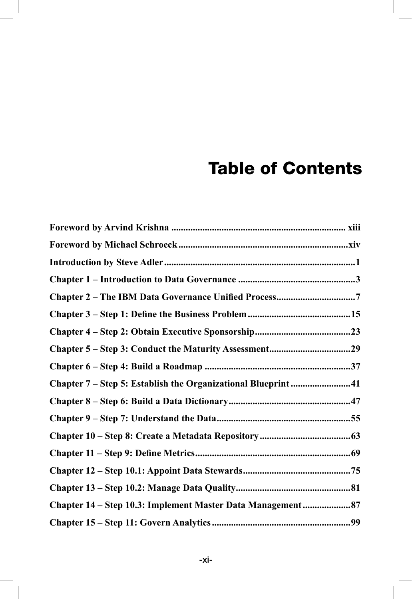## **Table of Contents**

| Chapter 2 - The IBM Data Governance Unified Process7         |  |
|--------------------------------------------------------------|--|
|                                                              |  |
|                                                              |  |
|                                                              |  |
|                                                              |  |
| Chapter 7 – Step 5: Establish the Organizational Blueprint41 |  |
|                                                              |  |
|                                                              |  |
|                                                              |  |
|                                                              |  |
|                                                              |  |
|                                                              |  |
| Chapter 14 – Step 10.3: Implement Master Data Management87   |  |
|                                                              |  |